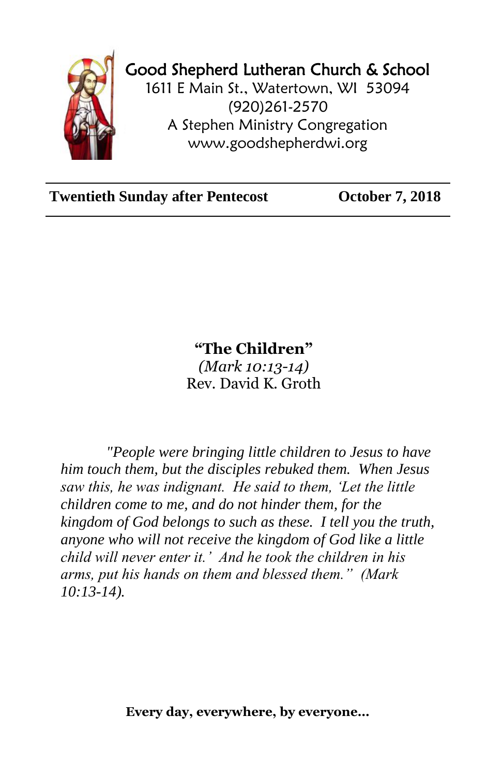

## Good Shepherd Lutheran Church & School

1611 E Main St., Watertown, WI 53094 (920)261-2570 A Stephen Ministry Congregation [www.goodshepherdwi.org](http://www.goodshepherdwi.org/)

**Twentieth Sunday after Pentecost October 7, 2018**

## **"The Children"**

*(Mark 10:13-14)* Rev. David K. Groth

*"People were bringing little children to Jesus to have him touch them, but the disciples rebuked them. When Jesus saw this, he was indignant. He said to them, 'Let the little children come to me, and do not hinder them, for the kingdom of God belongs to such as these. I tell you the truth, anyone who will not receive the kingdom of God like a little child will never enter it.' And he took the children in his arms, put his hands on them and blessed them." (Mark 10:13-14).*

**Every day, everywhere, by everyone…**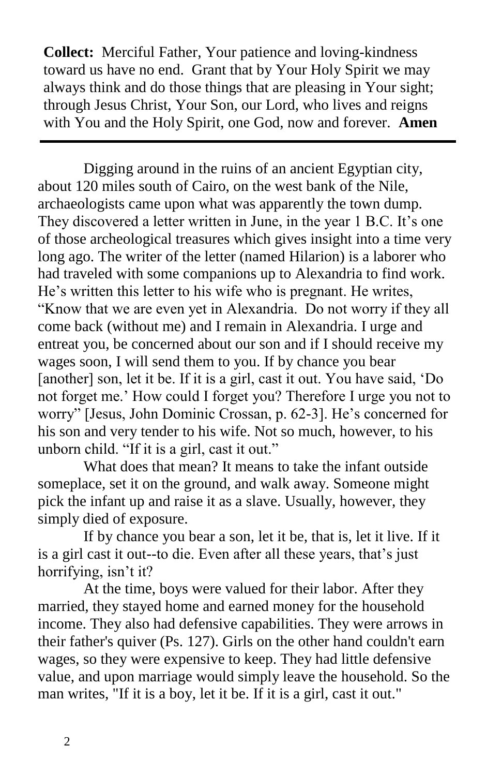**Collect:** Merciful Father, Your patience and loving-kindness toward us have no end. Grant that by Your Holy Spirit we may always think and do those things that are pleasing in Your sight; through Jesus Christ, Your Son, our Lord, who lives and reigns with You and the Holy Spirit, one God, now and forever. **Amen**

Digging around in the ruins of an ancient Egyptian city, about 120 miles south of Cairo, on the west bank of the Nile, archaeologists came upon what was apparently the town dump. They discovered a letter written in June, in the year 1 B.C. It's one of those archeological treasures which gives insight into a time very long ago. The writer of the letter (named Hilarion) is a laborer who had traveled with some companions up to Alexandria to find work. He's written this letter to his wife who is pregnant. He writes, "Know that we are even yet in Alexandria. Do not worry if they all come back (without me) and I remain in Alexandria. I urge and entreat you, be concerned about our son and if I should receive my

wages soon, I will send them to you. If by chance you bear [another] son, let it be. If it is a girl, cast it out. You have said, 'Do not forget me.' How could I forget you? Therefore I urge you not to worry" [Jesus, John Dominic Crossan, p. 62-3]. He's concerned for his son and very tender to his wife. Not so much, however, to his unborn child. "If it is a girl, cast it out."

What does that mean? It means to take the infant outside someplace, set it on the ground, and walk away. Someone might pick the infant up and raise it as a slave. Usually, however, they simply died of exposure.

If by chance you bear a son, let it be, that is, let it live. If it is a girl cast it out--to die. Even after all these years, that's just horrifying, isn't it?

At the time, boys were valued for their labor. After they married, they stayed home and earned money for the household income. They also had defensive capabilities. They were arrows in their father's quiver (Ps. 127). Girls on the other hand couldn't earn wages, so they were expensive to keep. They had little defensive value, and upon marriage would simply leave the household. So the man writes, "If it is a boy, let it be. If it is a girl, cast it out."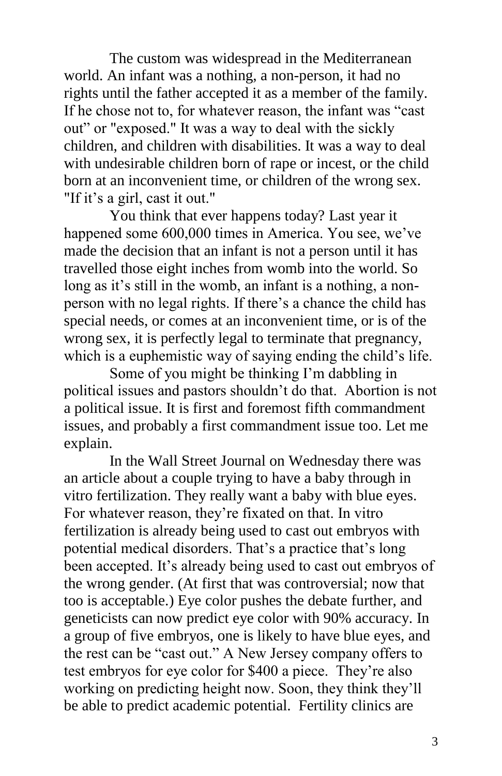The custom was widespread in the Mediterranean world. An infant was a nothing, a non-person, it had no rights until the father accepted it as a member of the family. If he chose not to, for whatever reason, the infant was "cast out" or "exposed." It was a way to deal with the sickly children, and children with disabilities. It was a way to deal with undesirable children born of rape or incest, or the child born at an inconvenient time, or children of the wrong sex. "If it's a girl, cast it out."

You think that ever happens today? Last year it happened some 600,000 times in America. You see, we've made the decision that an infant is not a person until it has travelled those eight inches from womb into the world. So long as it's still in the womb, an infant is a nothing, a nonperson with no legal rights. If there's a chance the child has special needs, or comes at an inconvenient time, or is of the wrong sex, it is perfectly legal to terminate that pregnancy, which is a euphemistic way of saying ending the child's life.

Some of you might be thinking I'm dabbling in political issues and pastors shouldn't do that. Abortion is not a political issue. It is first and foremost fifth commandment issues, and probably a first commandment issue too. Let me explain.

In the Wall Street Journal on Wednesday there was an article about a couple trying to have a baby through in vitro fertilization. They really want a baby with blue eyes. For whatever reason, they're fixated on that. In vitro fertilization is already being used to cast out embryos with potential medical disorders. That's a practice that's long been accepted. It's already being used to cast out embryos of the wrong gender. (At first that was controversial; now that too is acceptable.) Eye color pushes the debate further, and geneticists can now predict eye color with 90% accuracy. In a group of five embryos, one is likely to have blue eyes, and the rest can be "cast out." A New Jersey company offers to test embryos for eye color for \$400 a piece. They're also working on predicting height now. Soon, they think they'll be able to predict academic potential. Fertility clinics are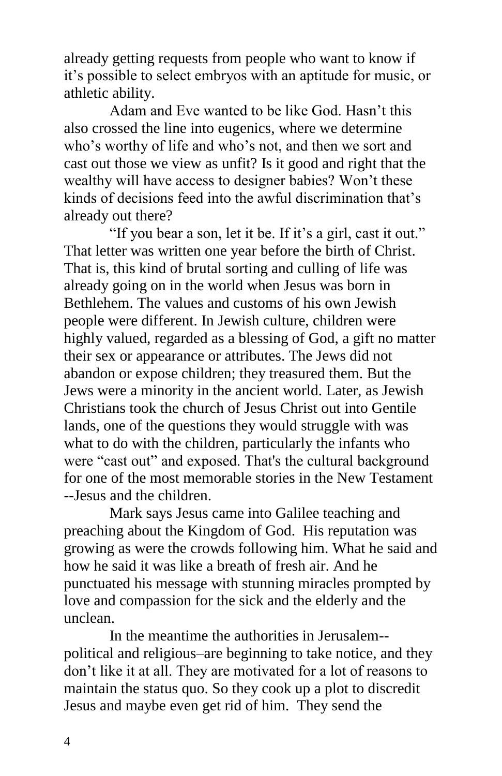already getting requests from people who want to know if it's possible to select embryos with an aptitude for music, or athletic ability.

Adam and Eve wanted to be like God. Hasn't this also crossed the line into eugenics, where we determine who's worthy of life and who's not, and then we sort and cast out those we view as unfit? Is it good and right that the wealthy will have access to designer babies? Won't these kinds of decisions feed into the awful discrimination that's already out there?

"If you bear a son, let it be. If it's a girl, cast it out." That letter was written one year before the birth of Christ. That is, this kind of brutal sorting and culling of life was already going on in the world when Jesus was born in Bethlehem. The values and customs of his own Jewish people were different. In Jewish culture, children were highly valued, regarded as a blessing of God, a gift no matter their sex or appearance or attributes. The Jews did not abandon or expose children; they treasured them. But the Jews were a minority in the ancient world. Later, as Jewish Christians took the church of Jesus Christ out into Gentile lands, one of the questions they would struggle with was what to do with the children, particularly the infants who were "cast out" and exposed. That's the cultural background for one of the most memorable stories in the New Testament --Jesus and the children.

Mark says Jesus came into Galilee teaching and preaching about the Kingdom of God. His reputation was growing as were the crowds following him. What he said and how he said it was like a breath of fresh air. And he punctuated his message with stunning miracles prompted by love and compassion for the sick and the elderly and the unclean.

In the meantime the authorities in Jerusalem- political and religious–are beginning to take notice, and they don't like it at all. They are motivated for a lot of reasons to maintain the status quo. So they cook up a plot to discredit Jesus and maybe even get rid of him. They send the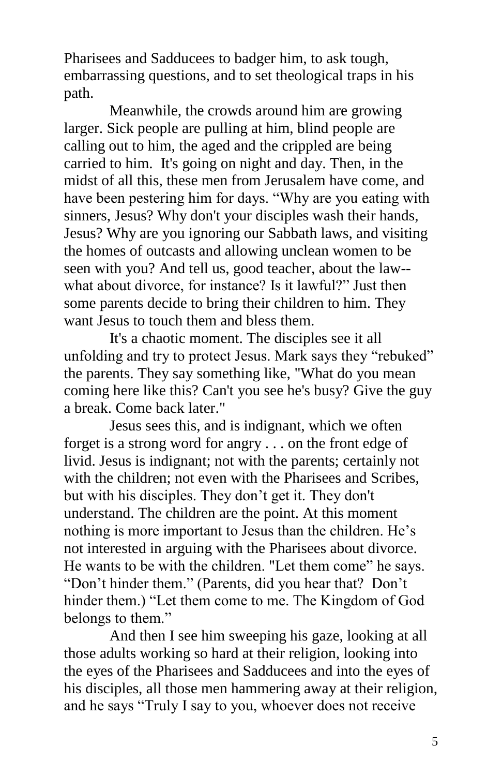Pharisees and Sadducees to badger him, to ask tough, embarrassing questions, and to set theological traps in his path.

Meanwhile, the crowds around him are growing larger. Sick people are pulling at him, blind people are calling out to him, the aged and the crippled are being carried to him. It's going on night and day. Then, in the midst of all this, these men from Jerusalem have come, and have been pestering him for days. "Why are you eating with sinners, Jesus? Why don't your disciples wash their hands, Jesus? Why are you ignoring our Sabbath laws, and visiting the homes of outcasts and allowing unclean women to be seen with you? And tell us, good teacher, about the law- what about divorce, for instance? Is it lawful?" Just then some parents decide to bring their children to him. They want Jesus to touch them and bless them.

It's a chaotic moment. The disciples see it all unfolding and try to protect Jesus. Mark says they "rebuked" the parents. They say something like, "What do you mean coming here like this? Can't you see he's busy? Give the guy a break. Come back later."

Jesus sees this, and is indignant, which we often forget is a strong word for angry . . . on the front edge of livid. Jesus is indignant; not with the parents; certainly not with the children; not even with the Pharisees and Scribes, but with his disciples. They don't get it. They don't understand. The children are the point. At this moment nothing is more important to Jesus than the children. He's not interested in arguing with the Pharisees about divorce. He wants to be with the children. "Let them come" he says. "Don't hinder them." (Parents, did you hear that? Don't hinder them.) "Let them come to me. The Kingdom of God belongs to them."

And then I see him sweeping his gaze, looking at all those adults working so hard at their religion, looking into the eyes of the Pharisees and Sadducees and into the eyes of his disciples, all those men hammering away at their religion, and he says "Truly I say to you, whoever does not receive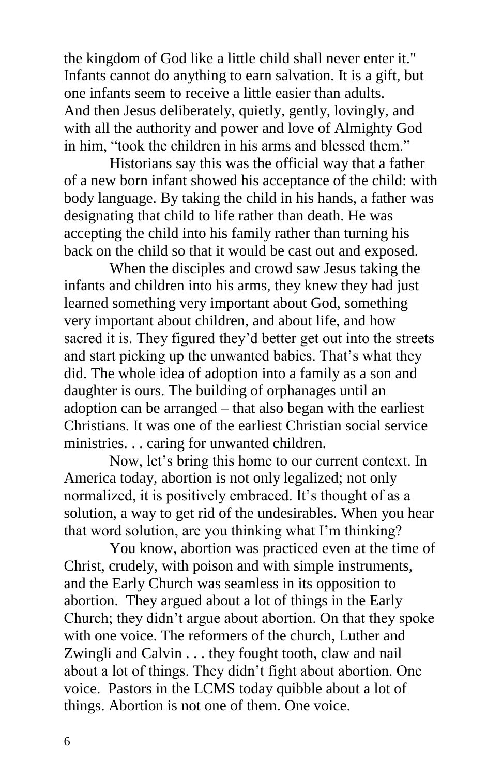the kingdom of God like a little child shall never enter it." Infants cannot do anything to earn salvation. It is a gift, but one infants seem to receive a little easier than adults. And then Jesus deliberately, quietly, gently, lovingly, and with all the authority and power and love of Almighty God in him, "took the children in his arms and blessed them."

Historians say this was the official way that a father of a new born infant showed his acceptance of the child: with body language. By taking the child in his hands, a father was designating that child to life rather than death. He was accepting the child into his family rather than turning his back on the child so that it would be cast out and exposed.

When the disciples and crowd saw Jesus taking the infants and children into his arms, they knew they had just learned something very important about God, something very important about children, and about life, and how sacred it is. They figured they'd better get out into the streets and start picking up the unwanted babies. That's what they did. The whole idea of adoption into a family as a son and daughter is ours. The building of orphanages until an adoption can be arranged – that also began with the earliest Christians. It was one of the earliest Christian social service ministries. . . caring for unwanted children.

Now, let's bring this home to our current context. In America today, abortion is not only legalized; not only normalized, it is positively embraced. It's thought of as a solution, a way to get rid of the undesirables. When you hear that word solution, are you thinking what I'm thinking?

You know, abortion was practiced even at the time of Christ, crudely, with poison and with simple instruments, and the Early Church was seamless in its opposition to abortion. They argued about a lot of things in the Early Church; they didn't argue about abortion. On that they spoke with one voice. The reformers of the church, Luther and Zwingli and Calvin . . . they fought tooth, claw and nail about a lot of things. They didn't fight about abortion. One voice. Pastors in the LCMS today quibble about a lot of things. Abortion is not one of them. One voice.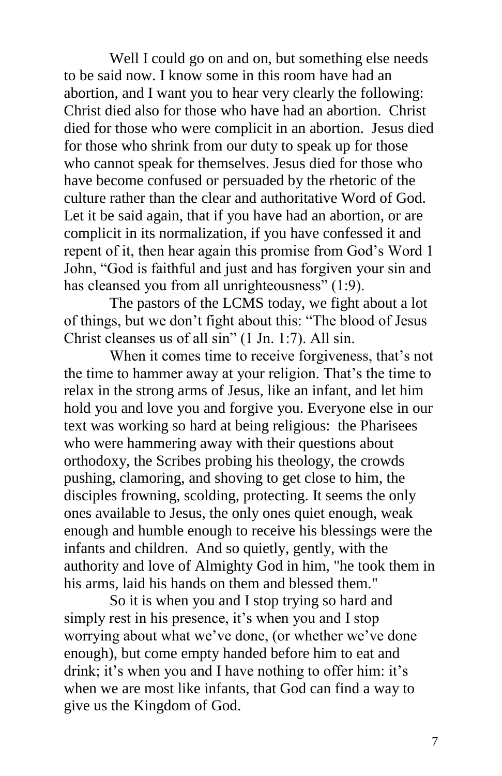Well I could go on and on, but something else needs to be said now. I know some in this room have had an abortion, and I want you to hear very clearly the following: Christ died also for those who have had an abortion. Christ died for those who were complicit in an abortion. Jesus died for those who shrink from our duty to speak up for those who cannot speak for themselves. Jesus died for those who have become confused or persuaded by the rhetoric of the culture rather than the clear and authoritative Word of God. Let it be said again, that if you have had an abortion, or are complicit in its normalization, if you have confessed it and repent of it, then hear again this promise from God's Word 1 John, "God is faithful and just and has forgiven your sin and has cleansed you from all unrighteousness" (1:9).

The pastors of the LCMS today, we fight about a lot of things, but we don't fight about this: "The blood of Jesus Christ cleanses us of all sin" (1 Jn. 1:7). All sin.

When it comes time to receive forgiveness, that's not the time to hammer away at your religion. That's the time to relax in the strong arms of Jesus, like an infant, and let him hold you and love you and forgive you. Everyone else in our text was working so hard at being religious: the Pharisees who were hammering away with their questions about orthodoxy, the Scribes probing his theology, the crowds pushing, clamoring, and shoving to get close to him, the disciples frowning, scolding, protecting. It seems the only ones available to Jesus, the only ones quiet enough, weak enough and humble enough to receive his blessings were the infants and children. And so quietly, gently, with the authority and love of Almighty God in him, "he took them in his arms, laid his hands on them and blessed them."

So it is when you and I stop trying so hard and simply rest in his presence, it's when you and I stop worrying about what we've done, (or whether we've done enough), but come empty handed before him to eat and drink; it's when you and I have nothing to offer him: it's when we are most like infants, that God can find a way to give us the Kingdom of God.